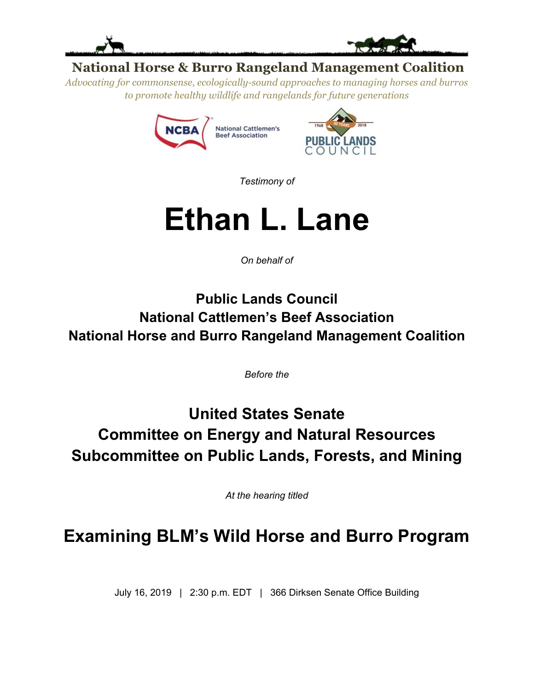



### **National Horse & Burro Rangeland Management Coalition**

*Advocating for commonsense, ecologically-sound approaches to managing horses and burros to promote healthy wildlife and rangelands for future generations*





*Testimony of*

# **Ethan L. Lane**

*On behalf of*

**Public Lands Council National Cattlemen's Beef Association National Horse and Burro Rangeland Management Coalition**

*Before the*

## **United States Senate Committee on Energy and Natural Resources Subcommittee on Public Lands, Forests, and Mining**

*At the hearing titled*

## **Examining BLM's Wild Horse and Burro Program**

July 16, 2019 | 2:30 p.m. EDT | 366 Dirksen Senate Office Building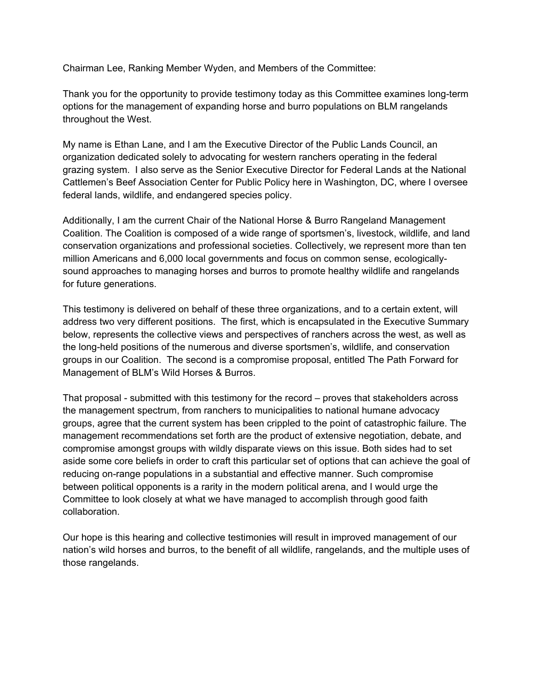Chairman Lee, Ranking Member Wyden, and Members of the Committee:

Thank you for the opportunity to provide testimony today as this Committee examines long-term options for the management of expanding horse and burro populations on BLM rangelands throughout the West.

My name is Ethan Lane, and I am the Executive Director of the Public Lands Council, an organization dedicated solely to advocating for western ranchers operating in the federal grazing system. I also serve as the Senior Executive Director for Federal Lands at the National Cattlemen's Beef Association Center for Public Policy here in Washington, DC, where I oversee federal lands, wildlife, and endangered species policy.

Additionally, I am the current Chair of the National Horse & Burro Rangeland Management Coalition. The Coalition is composed of a wide range of sportsmen's, livestock, wildlife, and land conservation organizations and professional societies. Collectively, we represent more than ten million Americans and 6,000 local governments and focus on common sense, ecologicallysound approaches to managing horses and burros to promote healthy wildlife and rangelands for future generations.

This testimony is delivered on behalf of these three organizations, and to a certain extent, will address two very different positions. The first, which is encapsulated in the Executive Summary below, represents the collective views and perspectives of ranchers across the west, as well as the long-held positions of the numerous and diverse sportsmen's, wildlife, and conservation groups in our Coalition. The second is a compromise proposal, entitled The Path Forward for Management of BLM's Wild Horses & Burros.

That proposal - submitted with this testimony for the record – proves that stakeholders across the management spectrum, from ranchers to municipalities to national humane advocacy groups, agree that the current system has been crippled to the point of catastrophic failure. The management recommendations set forth are the product of extensive negotiation, debate, and compromise amongst groups with wildly disparate views on this issue. Both sides had to set aside some core beliefs in order to craft this particular set of options that can achieve the goal of reducing on-range populations in a substantial and effective manner. Such compromise between political opponents is a rarity in the modern political arena, and I would urge the Committee to look closely at what we have managed to accomplish through good faith collaboration.

Our hope is this hearing and collective testimonies will result in improved management of our nation's wild horses and burros, to the benefit of all wildlife, rangelands, and the multiple uses of those rangelands.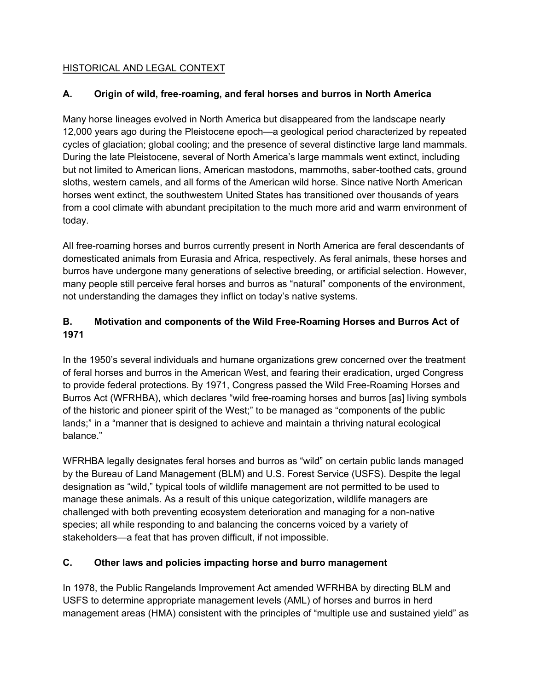#### HISTORICAL AND LEGAL CONTEXT

#### **A. Origin of wild, free-roaming, and feral horses and burros in North America**

Many horse lineages evolved in North America but disappeared from the landscape nearly 12,000 years ago during the Pleistocene epoch—a geological period characterized by repeated cycles of glaciation; global cooling; and the presence of several distinctive large land mammals. During the late Pleistocene, several of North America's large mammals went extinct, including but not limited to American lions, American mastodons, mammoths, saber-toothed cats, ground sloths, western camels, and all forms of the American wild horse. Since native North American horses went extinct, the southwestern United States has transitioned over thousands of years from a cool climate with abundant precipitation to the much more arid and warm environment of today.

All free-roaming horses and burros currently present in North America are feral descendants of domesticated animals from Eurasia and Africa, respectively. As feral animals, these horses and burros have undergone many generations of selective breeding, or artificial selection. However, many people still perceive feral horses and burros as "natural" components of the environment, not understanding the damages they inflict on today's native systems.

#### **B. Motivation and components of the Wild Free-Roaming Horses and Burros Act of 1971**

In the 1950's several individuals and humane organizations grew concerned over the treatment of feral horses and burros in the American West, and fearing their eradication, urged Congress to provide federal protections. By 1971, Congress passed the Wild Free-Roaming Horses and Burros Act (WFRHBA), which declares "wild free-roaming horses and burros [as] living symbols of the historic and pioneer spirit of the West;" to be managed as "components of the public lands;" in a "manner that is designed to achieve and maintain a thriving natural ecological balance."

WFRHBA legally designates feral horses and burros as "wild" on certain public lands managed by the Bureau of Land Management (BLM) and U.S. Forest Service (USFS). Despite the legal designation as "wild," typical tools of wildlife management are not permitted to be used to manage these animals. As a result of this unique categorization, wildlife managers are challenged with both preventing ecosystem deterioration and managing for a non-native species; all while responding to and balancing the concerns voiced by a variety of stakeholders—a feat that has proven difficult, if not impossible.

#### **C. Other laws and policies impacting horse and burro management**

In 1978, the Public Rangelands Improvement Act amended WFRHBA by directing BLM and USFS to determine appropriate management levels (AML) of horses and burros in herd management areas (HMA) consistent with the principles of "multiple use and sustained yield" as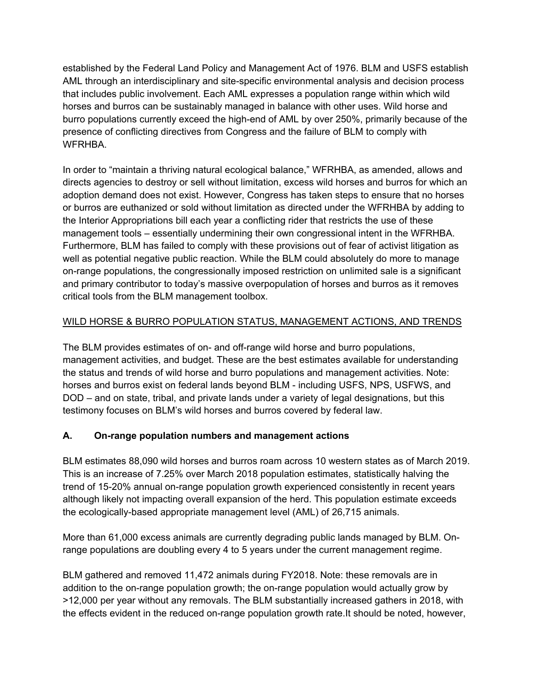established by the Federal Land Policy and Management Act of 1976. BLM and USFS establish AML through an interdisciplinary and site-specific environmental analysis and decision process that includes public involvement. Each AML expresses a population range within which wild horses and burros can be sustainably managed in balance with other uses. Wild horse and burro populations currently exceed the high-end of AML by over 250%, primarily because of the presence of conflicting directives from Congress and the failure of BLM to comply with WFRHBA.

In order to "maintain a thriving natural ecological balance," WFRHBA, as amended, allows and directs agencies to destroy or sell without limitation, excess wild horses and burros for which an adoption demand does not exist. However, Congress has taken steps to ensure that no horses or burros are euthanized or sold without limitation as directed under the WFRHBA by adding to the Interior Appropriations bill each year a conflicting rider that restricts the use of these management tools – essentially undermining their own congressional intent in the WFRHBA. Furthermore, BLM has failed to comply with these provisions out of fear of activist litigation as well as potential negative public reaction. While the BLM could absolutely do more to manage on-range populations, the congressionally imposed restriction on unlimited sale is a significant and primary contributor to today's massive overpopulation of horses and burros as it removes critical tools from the BLM management toolbox.

#### WILD HORSE & BURRO POPULATION STATUS, MANAGEMENT ACTIONS, AND TRENDS

The BLM provides estimates of on- and off-range wild horse and burro populations, management activities, and budget. These are the best estimates available for understanding the status and trends of wild horse and burro populations and management activities. Note: horses and burros exist on federal lands beyond BLM - including USFS, NPS, USFWS, and DOD – and on state, tribal, and private lands under a variety of legal designations, but this testimony focuses on BLM's wild horses and burros covered by federal law.

#### **A. On-range population numbers and management actions**

BLM estimates 88,090 wild horses and burros roam across 10 western states as of March 2019. This is an increase of 7.25% over March 2018 population estimates, statistically halving the trend of 15-20% annual on-range population growth experienced consistently in recent years although likely not impacting overall expansion of the herd. This population estimate exceeds the ecologically-based appropriate management level (AML) of 26,715 animals.

More than 61,000 excess animals are currently degrading public lands managed by BLM. Onrange populations are doubling every 4 to 5 years under the current management regime.

BLM gathered and removed 11,472 animals during FY2018. Note: these removals are in addition to the on-range population growth; the on-range population would actually grow by >12,000 per year without any removals. The BLM substantially increased gathers in 2018, with the effects evident in the reduced on-range population growth rate.It should be noted, however,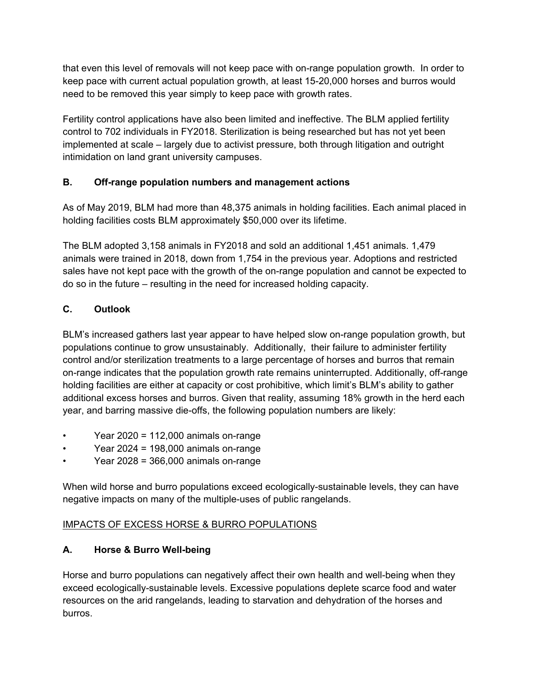that even this level of removals will not keep pace with on-range population growth. In order to keep pace with current actual population growth, at least 15-20,000 horses and burros would need to be removed this year simply to keep pace with growth rates.

Fertility control applications have also been limited and ineffective. The BLM applied fertility control to 702 individuals in FY2018. Sterilization is being researched but has not yet been implemented at scale – largely due to activist pressure, both through litigation and outright intimidation on land grant university campuses.

#### **B. Off-range population numbers and management actions**

As of May 2019, BLM had more than 48,375 animals in holding facilities. Each animal placed in holding facilities costs BLM approximately \$50,000 over its lifetime.

The BLM adopted 3,158 animals in FY2018 and sold an additional 1,451 animals. 1,479 animals were trained in 2018, down from 1,754 in the previous year. Adoptions and restricted sales have not kept pace with the growth of the on-range population and cannot be expected to do so in the future – resulting in the need for increased holding capacity.

#### **C. Outlook**

BLM's increased gathers last year appear to have helped slow on-range population growth, but populations continue to grow unsustainably. Additionally, their failure to administer fertility control and/or sterilization treatments to a large percentage of horses and burros that remain on-range indicates that the population growth rate remains uninterrupted. Additionally, off-range holding facilities are either at capacity or cost prohibitive, which limit's BLM's ability to gather additional excess horses and burros. Given that reality, assuming 18% growth in the herd each year, and barring massive die-offs, the following population numbers are likely:

- Year 2020 = 112,000 animals on-range
- Year 2024 = 198,000 animals on-range
- Year 2028 = 366,000 animals on-range

When wild horse and burro populations exceed ecologically-sustainable levels, they can have negative impacts on many of the multiple-uses of public rangelands.

#### IMPACTS OF EXCESS HORSE & BURRO POPULATIONS

#### **A. Horse & Burro Well-being**

Horse and burro populations can negatively affect their own health and well-being when they exceed ecologically-sustainable levels. Excessive populations deplete scarce food and water resources on the arid rangelands, leading to starvation and dehydration of the horses and burros.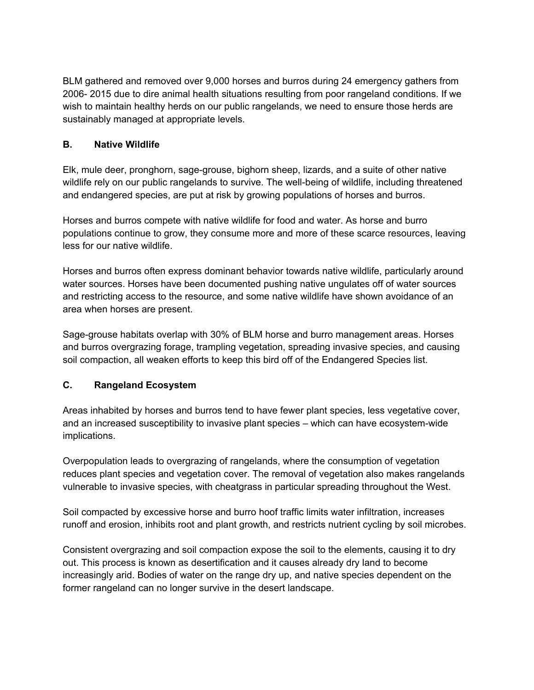BLM gathered and removed over 9,000 horses and burros during 24 emergency gathers from 2006- 2015 due to dire animal health situations resulting from poor rangeland conditions. If we wish to maintain healthy herds on our public rangelands, we need to ensure those herds are sustainably managed at appropriate levels.

#### **B. Native Wildlife**

Elk, mule deer, pronghorn, sage-grouse, bighorn sheep, lizards, and a suite of other native wildlife rely on our public rangelands to survive. The well-being of wildlife, including threatened and endangered species, are put at risk by growing populations of horses and burros.

Horses and burros compete with native wildlife for food and water. As horse and burro populations continue to grow, they consume more and more of these scarce resources, leaving less for our native wildlife.

Horses and burros often express dominant behavior towards native wildlife, particularly around water sources. Horses have been documented pushing native ungulates off of water sources and restricting access to the resource, and some native wildlife have shown avoidance of an area when horses are present.

Sage-grouse habitats overlap with 30% of BLM horse and burro management areas. Horses and burros overgrazing forage, trampling vegetation, spreading invasive species, and causing soil compaction, all weaken efforts to keep this bird off of the Endangered Species list.

#### **C. Rangeland Ecosystem**

Areas inhabited by horses and burros tend to have fewer plant species, less vegetative cover, and an increased susceptibility to invasive plant species – which can have ecosystem-wide implications.

Overpopulation leads to overgrazing of rangelands, where the consumption of vegetation reduces plant species and vegetation cover. The removal of vegetation also makes rangelands vulnerable to invasive species, with cheatgrass in particular spreading throughout the West.

Soil compacted by excessive horse and burro hoof traffic limits water infiltration, increases runoff and erosion, inhibits root and plant growth, and restricts nutrient cycling by soil microbes.

Consistent overgrazing and soil compaction expose the soil to the elements, causing it to dry out. This process is known as desertification and it causes already dry land to become increasingly arid. Bodies of water on the range dry up, and native species dependent on the former rangeland can no longer survive in the desert landscape.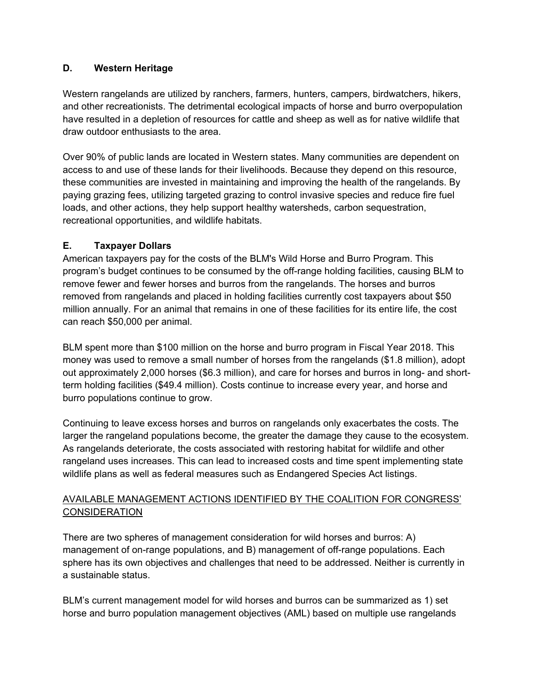#### **D. Western Heritage**

Western rangelands are utilized by ranchers, farmers, hunters, campers, birdwatchers, hikers, and other recreationists. The detrimental ecological impacts of horse and burro overpopulation have resulted in a depletion of resources for cattle and sheep as well as for native wildlife that draw outdoor enthusiasts to the area.

Over 90% of public lands are located in Western states. Many communities are dependent on access to and use of these lands for their livelihoods. Because they depend on this resource, these communities are invested in maintaining and improving the health of the rangelands. By paying grazing fees, utilizing targeted grazing to control invasive species and reduce fire fuel loads, and other actions, they help support healthy watersheds, carbon sequestration, recreational opportunities, and wildlife habitats.

#### **E. Taxpayer Dollars**

American taxpayers pay for the costs of the BLM's Wild Horse and Burro Program. This program's budget continues to be consumed by the off-range holding facilities, causing BLM to remove fewer and fewer horses and burros from the rangelands. The horses and burros removed from rangelands and placed in holding facilities currently cost taxpayers about \$50 million annually. For an animal that remains in one of these facilities for its entire life, the cost can reach \$50,000 per animal.

BLM spent more than \$100 million on the horse and burro program in Fiscal Year 2018. This money was used to remove a small number of horses from the rangelands (\$1.8 million), adopt out approximately 2,000 horses (\$6.3 million), and care for horses and burros in long- and shortterm holding facilities (\$49.4 million). Costs continue to increase every year, and horse and burro populations continue to grow.

Continuing to leave excess horses and burros on rangelands only exacerbates the costs. The larger the rangeland populations become, the greater the damage they cause to the ecosystem. As rangelands deteriorate, the costs associated with restoring habitat for wildlife and other rangeland uses increases. This can lead to increased costs and time spent implementing state wildlife plans as well as federal measures such as Endangered Species Act listings.

#### AVAILABLE MANAGEMENT ACTIONS IDENTIFIED BY THE COALITION FOR CONGRESS' **CONSIDERATION**

There are two spheres of management consideration for wild horses and burros: A) management of on-range populations, and B) management of off-range populations. Each sphere has its own objectives and challenges that need to be addressed. Neither is currently in a sustainable status.

BLM's current management model for wild horses and burros can be summarized as 1) set horse and burro population management objectives (AML) based on multiple use rangelands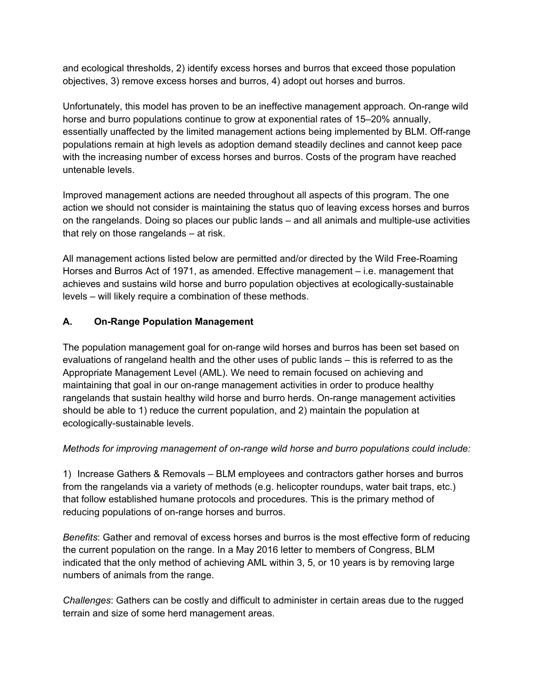and ecological thresholds, 2) identify excess horses and burros that exceed those population objectives, 3) remove excess horses and burros, 4) adopt out horses and burros.

Unfortunately, this model has proven to be an ineffective management approach. On-range wild horse and burro populations continue to grow at exponential rates of 15–20% annually, essentially unaffected by the limited management actions being implemented by BLM. Off-range populations remain at high levels as adoption demand steadily declines and cannot keep pace with the increasing number of excess horses and burros. Costs of the program have reached untenable levels.

Improved management actions are needed throughout all aspects of this program. The one action we should not consider is maintaining the status quo of leaving excess horses and burros on the rangelands. Doing so places our public lands – and all animals and multiple-use activities that rely on those rangelands – at risk.

All management actions listed below are permitted and/or directed by the Wild Free-Roaming Horses and Burros Act of 1971, as amended. Effective management – i.e. management that achieves and sustains wild horse and burro population objectives at ecologically-sustainable levels – will likely require a combination of these methods.

#### **A. On-Range Population Management**

The population management goal for on-range wild horses and burros has been set based on evaluations of rangeland health and the other uses of public lands – this is referred to as the Appropriate Management Level (AML). We need to remain focused on achieving and maintaining that goal in our on-range management activities in order to produce healthy rangelands that sustain healthy wild horse and burro herds. On-range management activities should be able to 1) reduce the current population, and 2) maintain the population at ecologically-sustainable levels.

#### *Methods for improving management of on-range wild horse and burro populations could include:*

1) Increase Gathers & Removals – BLM employees and contractors gather horses and burros from the rangelands via a variety of methods (e.g. helicopter roundups, water bait traps, etc.) that follow established humane protocols and procedures. This is the primary method of reducing populations of on-range horses and burros.

*Benefits*: Gather and removal of excess horses and burros is the most effective form of reducing the current population on the range. In a May 2016 letter to members of Congress, BLM indicated that the only method of achieving AML within 3, 5, or 10 years is by removing large numbers of animals from the range.

*Challenges*: Gathers can be costly and difficult to administer in certain areas due to the rugged terrain and size of some herd management areas.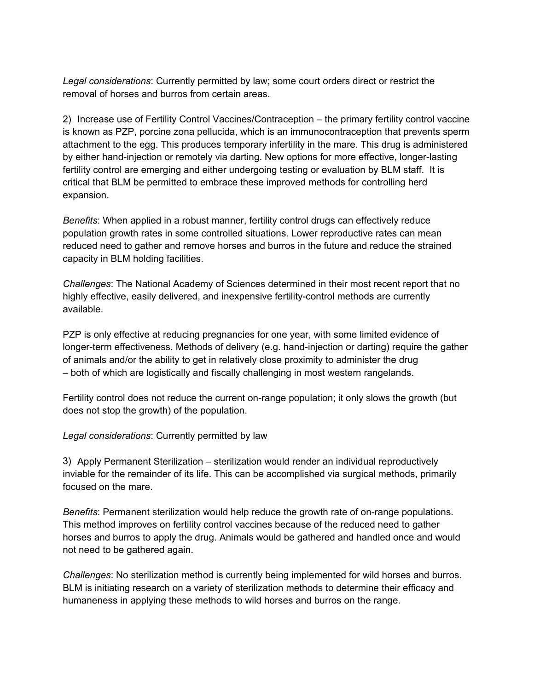*Legal considerations*: Currently permitted by law; some court orders direct or restrict the removal of horses and burros from certain areas.

2) Increase use of Fertility Control Vaccines/Contraception – the primary fertility control vaccine is known as PZP, porcine zona pellucida, which is an immunocontraception that prevents sperm attachment to the egg. This produces temporary infertility in the mare. This drug is administered by either hand-injection or remotely via darting. New options for more effective, longer-lasting fertility control are emerging and either undergoing testing or evaluation by BLM staff. It is critical that BLM be permitted to embrace these improved methods for controlling herd expansion.

*Benefits*: When applied in a robust manner, fertility control drugs can effectively reduce population growth rates in some controlled situations. Lower reproductive rates can mean reduced need to gather and remove horses and burros in the future and reduce the strained capacity in BLM holding facilities.

*Challenges*: The National Academy of Sciences determined in their most recent report that no highly effective, easily delivered, and inexpensive fertility-control methods are currently available.

PZP is only effective at reducing pregnancies for one year, with some limited evidence of longer-term effectiveness. Methods of delivery (e.g. hand-injection or darting) require the gather of animals and/or the ability to get in relatively close proximity to administer the drug – both of which are logistically and fiscally challenging in most western rangelands.

Fertility control does not reduce the current on-range population; it only slows the growth (but does not stop the growth) of the population.

#### *Legal considerations*: Currently permitted by law

3) Apply Permanent Sterilization – sterilization would render an individual reproductively inviable for the remainder of its life. This can be accomplished via surgical methods, primarily focused on the mare.

*Benefits*: Permanent sterilization would help reduce the growth rate of on-range populations. This method improves on fertility control vaccines because of the reduced need to gather horses and burros to apply the drug. Animals would be gathered and handled once and would not need to be gathered again.

*Challenges*: No sterilization method is currently being implemented for wild horses and burros. BLM is initiating research on a variety of sterilization methods to determine their efficacy and humaneness in applying these methods to wild horses and burros on the range.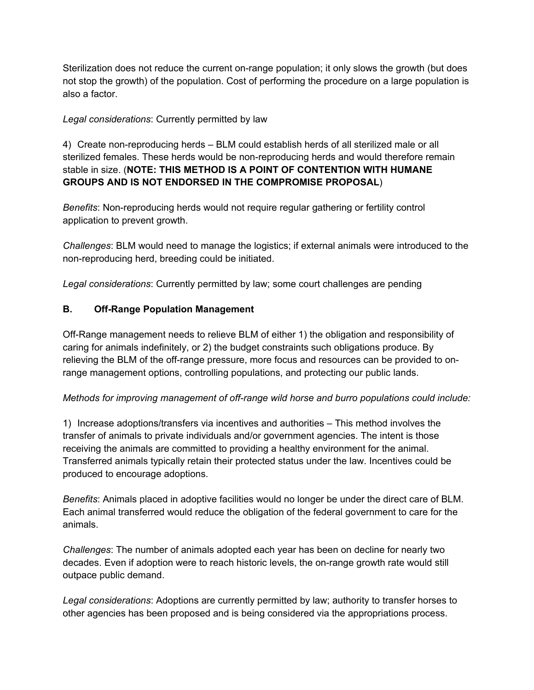Sterilization does not reduce the current on-range population; it only slows the growth (but does not stop the growth) of the population. Cost of performing the procedure on a large population is also a factor.

#### *Legal considerations*: Currently permitted by law

4) Create non-reproducing herds – BLM could establish herds of all sterilized male or all sterilized females. These herds would be non-reproducing herds and would therefore remain stable in size. (**NOTE: THIS METHOD IS A POINT OF CONTENTION WITH HUMANE GROUPS AND IS NOT ENDORSED IN THE COMPROMISE PROPOSAL**)

*Benefits*: Non-reproducing herds would not require regular gathering or fertility control application to prevent growth.

*Challenges*: BLM would need to manage the logistics; if external animals were introduced to the non-reproducing herd, breeding could be initiated.

*Legal considerations*: Currently permitted by law; some court challenges are pending

#### **B. Off-Range Population Management**

Off-Range management needs to relieve BLM of either 1) the obligation and responsibility of caring for animals indefinitely, or 2) the budget constraints such obligations produce. By relieving the BLM of the off-range pressure, more focus and resources can be provided to onrange management options, controlling populations, and protecting our public lands.

#### *Methods for improving management of off-range wild horse and burro populations could include:*

1) Increase adoptions/transfers via incentives and authorities – This method involves the transfer of animals to private individuals and/or government agencies. The intent is those receiving the animals are committed to providing a healthy environment for the animal. Transferred animals typically retain their protected status under the law. Incentives could be produced to encourage adoptions.

*Benefits*: Animals placed in adoptive facilities would no longer be under the direct care of BLM. Each animal transferred would reduce the obligation of the federal government to care for the animals.

*Challenges*: The number of animals adopted each year has been on decline for nearly two decades. Even if adoption were to reach historic levels, the on-range growth rate would still outpace public demand.

*Legal considerations*: Adoptions are currently permitted by law; authority to transfer horses to other agencies has been proposed and is being considered via the appropriations process.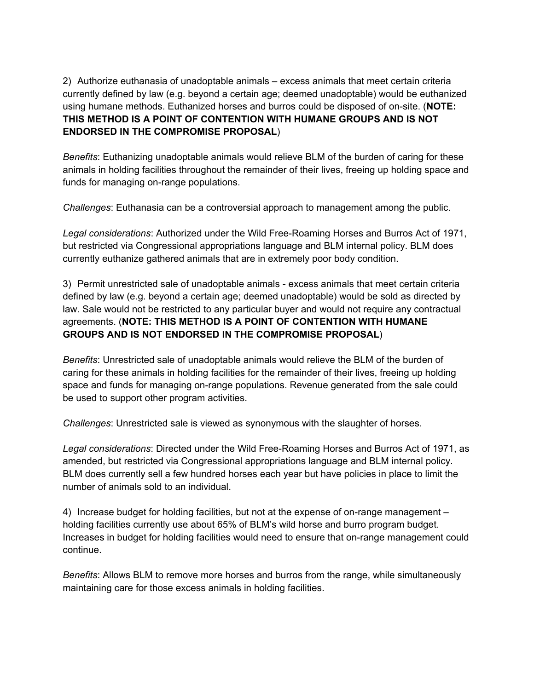2) Authorize euthanasia of unadoptable animals – excess animals that meet certain criteria currently defined by law (e.g. beyond a certain age; deemed unadoptable) would be euthanized using humane methods. Euthanized horses and burros could be disposed of on-site. (**NOTE: THIS METHOD IS A POINT OF CONTENTION WITH HUMANE GROUPS AND IS NOT ENDORSED IN THE COMPROMISE PROPOSAL**)

*Benefits*: Euthanizing unadoptable animals would relieve BLM of the burden of caring for these animals in holding facilities throughout the remainder of their lives, freeing up holding space and funds for managing on-range populations.

*Challenges*: Euthanasia can be a controversial approach to management among the public.

*Legal considerations*: Authorized under the Wild Free-Roaming Horses and Burros Act of 1971, but restricted via Congressional appropriations language and BLM internal policy. BLM does currently euthanize gathered animals that are in extremely poor body condition.

3) Permit unrestricted sale of unadoptable animals - excess animals that meet certain criteria defined by law (e.g. beyond a certain age; deemed unadoptable) would be sold as directed by law. Sale would not be restricted to any particular buyer and would not require any contractual agreements. (**NOTE: THIS METHOD IS A POINT OF CONTENTION WITH HUMANE GROUPS AND IS NOT ENDORSED IN THE COMPROMISE PROPOSAL**)

*Benefits*: Unrestricted sale of unadoptable animals would relieve the BLM of the burden of caring for these animals in holding facilities for the remainder of their lives, freeing up holding space and funds for managing on-range populations. Revenue generated from the sale could be used to support other program activities.

*Challenges*: Unrestricted sale is viewed as synonymous with the slaughter of horses.

*Legal considerations*: Directed under the Wild Free-Roaming Horses and Burros Act of 1971, as amended, but restricted via Congressional appropriations language and BLM internal policy. BLM does currently sell a few hundred horses each year but have policies in place to limit the number of animals sold to an individual.

4) Increase budget for holding facilities, but not at the expense of on-range management – holding facilities currently use about 65% of BLM's wild horse and burro program budget. Increases in budget for holding facilities would need to ensure that on-range management could continue.

*Benefits*: Allows BLM to remove more horses and burros from the range, while simultaneously maintaining care for those excess animals in holding facilities.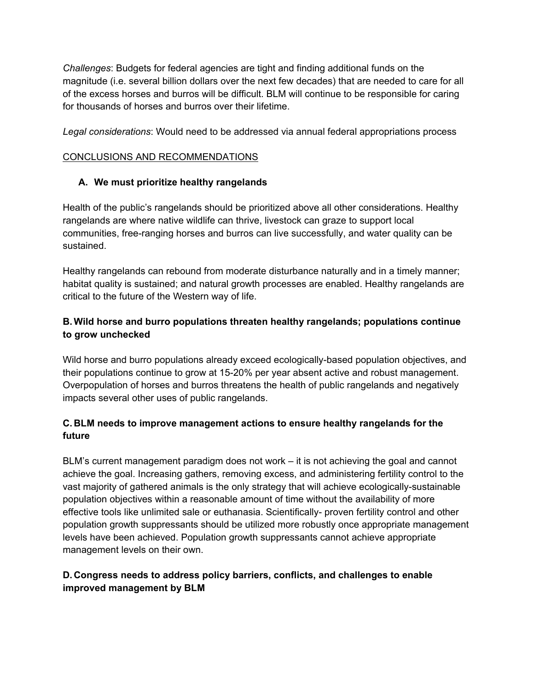*Challenges*: Budgets for federal agencies are tight and finding additional funds on the magnitude (i.e. several billion dollars over the next few decades) that are needed to care for all of the excess horses and burros will be difficult. BLM will continue to be responsible for caring for thousands of horses and burros over their lifetime.

*Legal considerations*: Would need to be addressed via annual federal appropriations process

#### CONCLUSIONS AND RECOMMENDATIONS

#### **A. We must prioritize healthy rangelands**

Health of the public's rangelands should be prioritized above all other considerations. Healthy rangelands are where native wildlife can thrive, livestock can graze to support local communities, free-ranging horses and burros can live successfully, and water quality can be sustained.

Healthy rangelands can rebound from moderate disturbance naturally and in a timely manner; habitat quality is sustained; and natural growth processes are enabled. Healthy rangelands are critical to the future of the Western way of life.

#### **B. Wild horse and burro populations threaten healthy rangelands; populations continue to grow unchecked**

Wild horse and burro populations already exceed ecologically-based population objectives, and their populations continue to grow at 15-20% per year absent active and robust management. Overpopulation of horses and burros threatens the health of public rangelands and negatively impacts several other uses of public rangelands.

#### **C. BLM needs to improve management actions to ensure healthy rangelands for the future**

BLM's current management paradigm does not work – it is not achieving the goal and cannot achieve the goal. Increasing gathers, removing excess, and administering fertility control to the vast majority of gathered animals is the only strategy that will achieve ecologically-sustainable population objectives within a reasonable amount of time without the availability of more effective tools like unlimited sale or euthanasia. Scientifically- proven fertility control and other population growth suppressants should be utilized more robustly once appropriate management levels have been achieved. Population growth suppressants cannot achieve appropriate management levels on their own.

#### **D. Congress needs to address policy barriers, conflicts, and challenges to enable improved management by BLM**